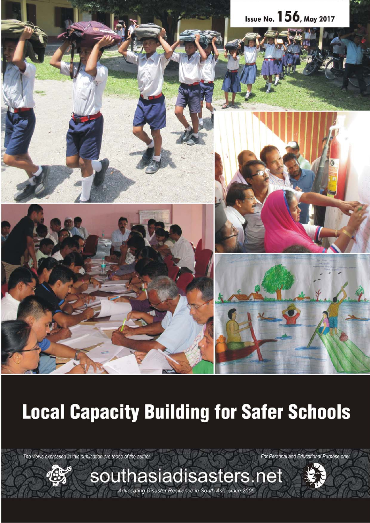

## **Local Capacity Building for Safer Schools**

The views expressed in this publication are those of the author. For Personal and Educational Purpose only



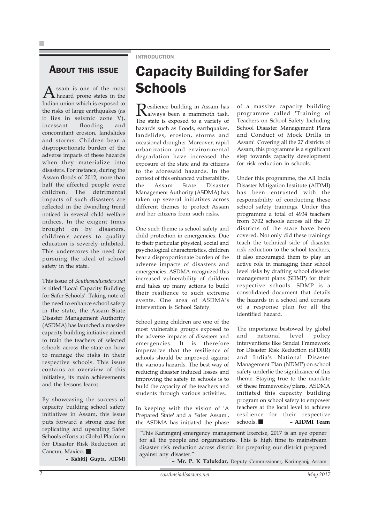### ABOUT THIS ISSUE

A ssam is one of the most<br>A hazard prone states in the<br> Indian union which is exposed to the risks of large earthquakes (as it lies in seismic zone V), incessant flooding and concomitant erosion, landslides and storms. Children bear a disproportionate burden of the adverse impacts of these hazards when they materialize into disasters. For instance, during the Assam floods of 2012, more than half the affected people were children. The detrimental impacts of such disasters are reflected in the dwindling trend noticed in several child welfare indices. In the exigent times brought on by disasters, children's access to quality education is severely inhibited. This underscores the need for pursuing the ideal of school safety in the state.

This issue of *Southasiadisasters.net* is titled 'Local Capacity Building for Safer Schools'. Taking note of the need to enhance school safety in the state, the Assam State Disaster Management Authority (ASDMA) has launched a massive capacity building initiative aimed to train the teachers of selected schools across the state on how to manage the risks in their respective schools. This issue contains an overview of this initiative, its main achievements and the lessons learnt.

By showcasing the success of capacity building school safety initiatives in Assam, this issue puts forward a strong case for replicating and upscaling Safer Schools efforts at Global Platform for Disaster Risk Reduction at Cancun, Maxico.

**– Kshitij Gupta,** AIDMI

### INTRODUCTION

# Capacity Building for Safer

Resilience building in Assam has always been a mammoth task. The state is exposed to a variety of hazards such as floods, earthquakes, landslides, erosion, storms and occasional droughts. Moreover, rapid urbanization and environmental degradation have increased the exposure of the state and its citizens to the aforesaid hazards. In the context of this enhanced vulnerability, the Assam State Disaster Management Authority (ASDMA) has taken up several initiatives across different themes to protect Assam and her citizens from such risks.

One such theme is school safety and child protection in emergencies. Due to their particular physical, social and psychological characteristics, children bear a disproportionate burden of the adverse impacts of disasters and emergencies. ASDMA recognized this increased vulnerability of children and takes up many actions to build their resilience to such extreme events. One area of ASDMA's intervention is School Safety.

School going children are one of the most vulnerable groups exposed to the adverse impacts of disasters and emergencies. It is therefore imperative that the resilience of schools should be improved against the various hazards. The best way of reducing disaster induced losses and improving the safety in schools is to build the capacity of the teachers and students through various activities.

In keeping with the vision of 'A Prepared State' and a 'Safer Assam', the ASDMA has initiated the phase of a massive capacity building programme called 'Training of Teachers on School Safety Including School Disaster Management Plans and Conduct of Mock Drills in Assam'. Covering all the 27 districts of Assam, this programme is a significant step towards capacity development for risk reduction in schools.

Under this programme, the All India Disaster Mitigation Institute (AIDMI) has been entrusted with the responsibility of conducting these school safety trainings. Under this programme a total of 4934 teachers from 3702 schools across all the 27 districts of the state have been covered. Not only did these trainings teach the technical side of disaster risk reduction to the school teachers, it also encouraged them to play an active role in managing their school level risks by drafting school disaster management plans (SDMP) for their respective schools. SDMP is a consolidated document that details the hazards in a school and consists of a response plan for all the identified hazard.

The importance bestowed by global and national level policy interventions like Sendai Framework for Disaster Risk Reduction (SFDRR) and India's National Disaster Management Plan (NDMP) on school safety underlie the significance of this theme. Staying true to the mandate of these frameworks/plans, ASDMA initiated this capacity building program on school safety to empower teachers at the local level to achieve resilience for their respective schools. **– AIDMI Team**

"This Karimganj emergency management Exercise, 2017 is an eye opener for all the people and organisations. This is high time to mainstream disaster risk reduction across district for preparing our district prepared against any disaster."

**– Mr. P. K Talukdar,** Deputy Commissioner, Karimganj, Assam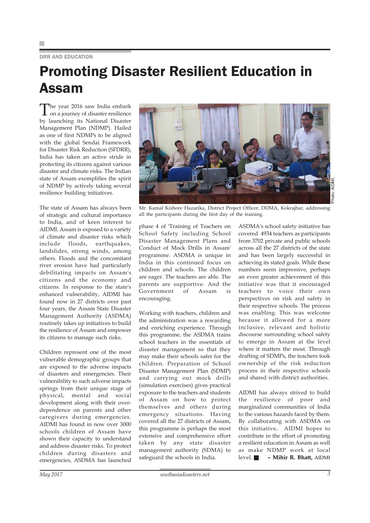### DRR AND EDUCATION

### Promoting Disaster Resilient Education in Assam

The year 2016 saw India embark<br>
on a journey of disaster resilience by launching its National Disaster Management Plan (NDMP). Hailed as one of first NDMPs to be aligned with the global Sendai Framework for Disaster Risk Reduction (SFDRR), India has taken an active stride in protecting its citizens against various disaster and climate risks. The Indian state of Assam exemplifies the spirit of NDMP by actively taking several resilience building initiatives.

The state of Assam has always been of strategic and cultural importance to India, and of keen interest to AIDMI. Assam is exposed to a variety of climate and disaster risks which include floods, earthquakes, landslides, strong winds, among others. Floods and the concomitant river erosion have had particularly debilitating impacts on Assam's citizens and the economy and citizens. In response to the state's enhanced vulnerability, AIDMI has found now in 27 districts over past four years, the Assam State Disaster Management Authority (ASDMA) routinely takes up initiatives to build the resilience of Assam and empower its citizens to manage such risks.

Children represent one of the most vulnerable demographic groups that are exposed to the adverse impacts of disasters and emergencies. Their vulnerability to such adverse impacts springs from their unique stage of physical, mental and social development along with their overdependence on parents and other caregivers during emergencies. AIDMI has found in now over 3000 schools children of Assam have shown their capacity to understand and address disaster risks. To protect children during disasters and emergencies, ASDMA has launched



Mr. Kamal Kishore Hazarika, District Project Officer, DDMA, Kokrajhar, addressing all the participants during the first day of the training.

phase 4 of 'Training of Teachers on School Safety including School Disaster Management Plans and Conduct of Mock Drills in Assam' programme. ASDMA is unique in India in this continued focus on children and schools. The children are eager. The teachers are able. The parents are supportive. And the Government of Assam is encouraging.

Working with teachers, children and the administration was a rewarding and enriching experience. Through this programme, the ASDMA trains school teachers in the essentials of disaster management so that they may make their schools safer for the children. Preparation of School Disaster Management Plan (SDMP) and carrying out mock drills (simulation exercises) gives practical exposure to the teachers and students of Assam on how to protect themselves and others during emergency situations. Having covered all the 27 districts of Assam, this programme is perhaps the most extensive and comprehensive effort taken by any state disaster management authority (SDMA) to safeguard the schools in India.

ASDMA's school safety initiative has covered 4934 teachers as participants from 3702 private and public schools across all the 27 districts of the state and has been largely successful in achieving its stated goals. While these numbers seem impressive, perhaps an even greater achievement of this initiative was that it encouraged teachers to voice their own perspectives on risk and safety in their respective schools. The process was enabling. This was welcome because it allowed for a more inclusive, relevant and holistic discourse surrounding school safety to emerge in Assam at the level where it matters the most. Through drafting of SDMPs, the teachers took ownership of the risk reduction process in their respective schools and shared with district authorities.

AIDMI has always strived to build the resilience of poor and marginalized communities of India to the various hazards faced by them. By collaborating with ASDMA on this initiative, AIDMI hopes to contribute in the effort of promoting a resilient education in Assam as well as make NDMP work at local level. **– Mihir R. Bhatt,** AIDMI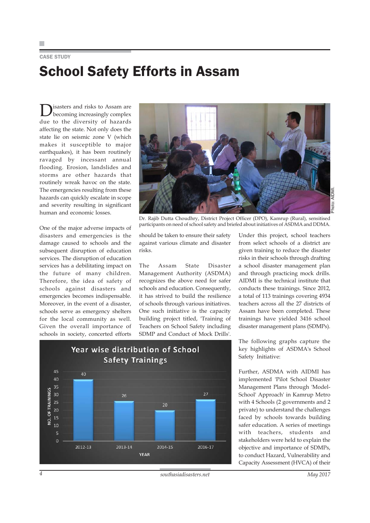### CASE STUDY School Safety Efforts in Assam

Disasters and risks to Assam are becoming increasingly complex due to the diversity of hazards affecting the state. Not only does the state lie on seismic zone V (which makes it susceptible to major earthquakes), it has been routinely ravaged by incessant annual flooding. Erosion, landslides and storms are other hazards that routinely wreak havoc on the state. The emergencies resulting from these hazards can quickly escalate in scope and severity resulting in significant human and economic losses.

One of the major adverse impacts of disasters and emergencies is the damage caused to schools and the subsequent disruption of education services. The disruption of education services has a debilitating impact on the future of many children. Therefore, the idea of safety of schools against disasters and emergencies becomes indispensable. Moreover, in the event of a disaster, schools serve as emergency shelters for the local community as well. Given the overall importance of schools in society, concerted efforts



Dr. Rajib Dutta Choudhry, District Project Officer (DPO), Kamrup (Rural), sensitised participants on need of school safety and briefed about initiatives of ASDMA and DDMA.

should be taken to ensure their safety against various climate and disaster risks.

The Assam State Disaster Management Authority (ASDMA) recognizes the above need for safer schools and education. Consequently, it has strived to build the resilience of schools through various initiatives. One such initiative is the capacity building project titled, 'Training of Teachers on School Safety including SDMP and Conduct of Mock Drills'.

Under this project, school teachers from select schools of a district are given training to reduce the disaster risks in their schools through drafting a school disaster management plan and through practicing mock drills. AIDMI is the technical institute that conducts these trainings. Since 2012, a total of 113 trainings covering 4934 teachers across all the 27 districts of Assam have been completed. These trainings have yielded 3416 school disaster management plans (SDMPs).

The following graphs capture the key highlights of ASDMA's School Safety Initiative:

Further, ASDMA with AIDMI has implemented 'Pilot School Disaster Management Plans through 'Model-School' Approach' in Kamrup Metro with 4 Schools (2 governments and 2 private) to understand the challenges faced by schools towards building safer education. A series of meetings with teachers, students and stakeholders were held to explain the objective and importance of SDMPs, to conduct Hazard, Vulnerability and Capacity Assessment (HVCA) of their

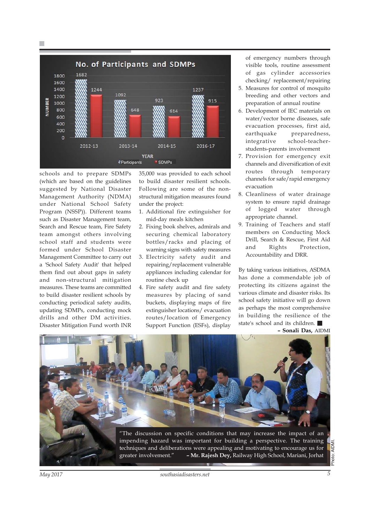

schools and to prepare SDMPs (which are based on the guidelines suggested by National Disaster Management Authority (NDMA) under National School Safety Program (NSSP)). Different teams such as Disaster Management team, Search and Rescue team, Fire Safety team amongst others involving school staff and students were formed under School Disaster Management Committee to carry out a 'School Safety Audit' that helped them find out about gaps in safety and non-structural mitigation measures. These teams are committed to build disaster resilient schools by conducting periodical safety audits, updating SDMPs, conducting mock drills and other DM activities. Disaster Mitigation Fund worth INR

35,000 was provided to each school to build disaster resilient schools. Following are some of the nonstructural mitigation measures found under the project:

- 1. Additional fire extinguisher for mid-day meals kitchen
- 2. Fixing book shelves, admirals and securing chemical laboratory bottles/racks and placing of warning signs with safety measures
- 3. Electricity safety audit and repairing/replacement vulnerable appliances including calendar for routine check up
- 4. Fire safety audit and fire safety measures by placing of sand buckets, displaying maps of fire extinguisher locations/ evacuation routes/location of Emergency Support Function (ESFs), display

of emergency numbers through visible tools, routine assessment of gas cylinder accessories checking/ replacement/repairing

- 5. Measures for control of mosquito breeding and other vectors and preparation of annual routine
- 6. Development of IEC materials on water/vector borne diseases, safe evacuation processes, first aid, earthquake preparedness, integrative school-teacherstudents-parents involvement
- 7. Provision for emergency exit channels and diversification of exit routes through temporary channels for safe/rapid emergency evacuation
- 8. Cleanliness of water drainage system to ensure rapid drainage of logged water through appropriate channel.
- 9. Training of Teachers and staff members on Conducting Mock Drill, Search & Rescue, First Aid and Rights Protection, Accountability and DRR.

By taking various initiatives, ASDMA has done a commendable job of protecting its citizens against the various climate and disaster risks. Its school safety initiative will go down as perhaps the most comprehensive in building the resilience of the state's school and its children.

**– Sonali Das,** AIDMI



"The discussion on specific conditions that may increase the impact of an impending hazard was important for building a perspective. The training techniques and deliberations were appealing and motivating to encourage us for greater involvement." **– Mr. Rajesh Dey,** Railway High School, Mariani, Jorhat

Photo: AIDMI.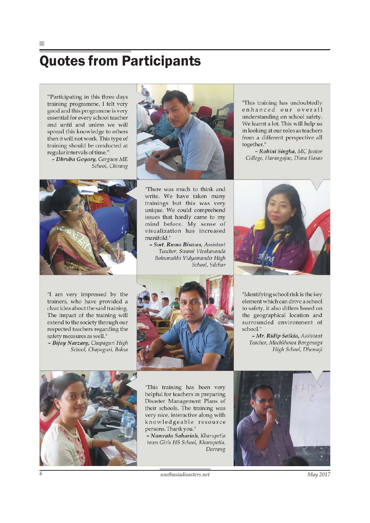### **Quotes from Participants**

"Participating in this three days training programme, I felt very good and this programme is very essential for every school teacher and until and unless we will spread this knowledge to others then it will not work. This type of training should be conducted at regular intervals of time."

- Dhruba Goyary, Gargaon ME School, Chirang



"There was much to think and write. We have taken many trainings but this was very unique. We could comprehend issues that hardly came to my mind before. My sense of visualization has increased manifold."

- Smt. Ruma Biswas, Assistant Teacher, Swami Vivekananda Bohumukhi Vidyamandir High School, Silchar "This training has undoubtedly enhanced our overall understanding on school safety. We learnt a lot. This will help us in looking at our roles as teachers from a different perspective all together."

- Rohini Singha, MC Junior College, Harangajao, Dima Hasao



"I am very impressed by the trainers, who have provided a clear idea about the said training. The impact of the training will extend to the society through our respected teachers regarding the safety measures as well."

- Bijay Narzary, Chapaguri High School, Chapaguri, Baksa



"Identifying school risk is the key element which can drive a school to safety, it also differs based on the geographical location and surrounded environment of school.'

- Mr. Ridip Saikia, Assistant Teacher, Machkhowa Bengenaga High School, Dhemaji



"This training has been very helpful for teachers in preparing Disaster Management Plans of their schools. The training was very nice, interactive along with knowledgeable resource persons. Thank you."

- Namrata Sahariah, Kharupetia town Girls HS School, Kharupetia, Darrang



southasiadisasters.net

May 2017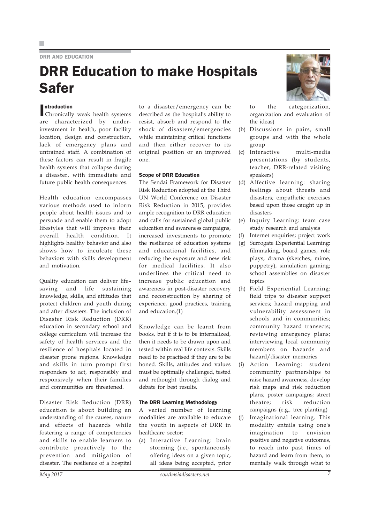DRR AND EDUCATION

### DRR Education to make Hospitals Safer

### **I**ntroduction

Introduction<br>
Chronically weak health systems are characterized by underinvestment in health, poor facility location, design and construction, lack of emergency plans and untrained staff. A combination of these factors can result in fragile health systems that collapse during a disaster, with immediate and future public health consequences.

Health education encompasses various methods used to inform people about health issues and to persuade and enable them to adopt lifestyles that will improve their overall health condition. It highlights healthy behavior and also shows how to inculcate these behaviors with skills development and motivation.

Quality education can deliver life– saving and life sustaining knowledge, skills, and attitudes that protect children and youth during and after disasters. The inclusion of Disaster Risk Reduction (DRR) education in secondary school and college curriculum will increase the safety of health services and the resilience of hospitals located in disaster prone regions. Knowledge and skills in turn prompt first responders to act, responsibly and responsively when their families and communities are threatened.

Disaster Risk Reduction (DRR) education is about building an understanding of the causes, nature and effects of hazards while fostering a range of competencies and skills to enable learners to contribute proactively to the prevention and mitigation of disaster. The resilience of a hospital to a disaster/emergency can be described as the hospital's ability to resist, absorb and respond to the shock of disasters/emergencies while maintaining critical functions and then either recover to its original position or an improved one.

### Scope of DRR Education

The Sendai Framework for Disaster Risk Reduction adopted at the Third UN World Conference on Disaster Risk Reduction in 2015, provides ample recognition to DRR education and calls for sustained global public education and awareness campaigns, increased investments to promote the resilience of education systems and educational facilities, and reducing the exposure and new risk for medical facilities. It also underlines the critical need to increase public education and awareness in post-disaster recovery and reconstruction by sharing of experience, good practices, training and education.(1)

Knowledge can be learnt from books, but if it is to be internalized, then it needs to be drawn upon and tested within real life contexts. Skills need to be practised if they are to be honed. Skills, attitudes and values must be optimally challenged, tested and rethought through dialog and debate for best results.

### The DRR Learning Methodology

A varied number of learning modalities are available to educate the youth in aspects of DRR in healthcare sector:

(a) Interactive Learning: brain storming (i.e., spontaneously offering ideas on a given topic, all ideas being accepted, prior



to the categorization, organization and evaluation of the ideas)

- (b) Discussions in pairs, small groups and with the whole group
- (c) Interactive multi-media presentations (by students, teacher, DRR-related visiting speakers)
- (d) Affective learning: sharing feelings about threats and disasters; empathetic exercises based upon those caught up in disasters
- (e) Inquiry Learning: team case study research and analysis
- (f) Internet enquiries; project work
- (g) Surrogate Experiential Learning: filmmaking, board games, role plays, drama (sketches, mime, puppetry), simulation gaming; school assemblies on disaster topics
- (h) Field Experiential Learning: field trips to disaster support services; hazard mapping and vulnerability assessment in schools and in communities; community hazard transects; reviewing emergency plans; interviewing local community members on hazards and hazard/disaster memories
- (i) Action Learning: student community partnerships to raise hazard awareness, develop risk maps and risk reduction plans; poster campaigns; street theatre; risk reduction campaigns (e.g., tree planting)
- (j) Imaginational learning. This modality entails using one's imagination to envision positive and negative outcomes, to reach into past times of hazard and learn from them, to mentally walk through what to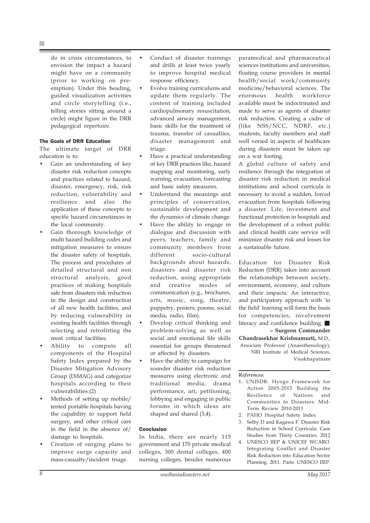do in crisis circumstances, to envision the impact a hazard might have on a community (prior to working on preemption). Under this heading, guided visualization activities and circle storytelling (i.e., telling stories sitting around a circle) might figure in the DRR pedagogical repertoire.

### The Goals of DRR Education

The ultimate target of DRR education is to:

- Gain an understanding of key disaster risk reduction concepts and practices related to hazard, disaster, emergency, risk, risk reduction, vulnerability and resilience and also the application of these concepts to specific hazard circumstances in the local community.
- Gain thorough knowledge of multi hazard building codes and mitigation measures to ensure the disaster safety of hospitals. The process and procedures of detailed structural and non structural analysis, good practices of making hospitals safe from disasters risk reduction in the design and construction of all new health facilities, and by reducing vulnerability in existing health facilities through selecting and retrofitting the most critical facilities.
- Ability to compute all components of the Hospital Safety Index prepared by the Disaster Mitigation Advisory Group (DiMAG) and categorize hospitals according to their vulnerabilities.(2)
- Methods of setting up mobile/ tented portable hospitals having the capability to support field surgery, and other critical care in the field in the absence of/ damage to hospitals.
- Creation of surging plans to improve surge capacity and mass-casualty/incident triage.
- Conduct of disaster trainings and drills at least twice yearly to improve hospital medical response efficiency.
- Evolve training curriculums and update them regularly. The content of training included cardiopulmonary resuscitation, advanced airway management, basic skills for the treatment of trauma, transfer of casualties, disaster management and triage.
- Have a practical understanding of key DRR practices like, hazard mapping and monitoring, early warning, evacuation, forecasting and basic safety measures.
- Understand the meanings and principles of conservation, sustainable development and the dynamics of climate change.
- Have the ability to engage in dialogue and discussion with peers, teachers, family and community members from different socio-cultural backgrounds about hazards, disasters and disaster risk reduction, using appropriate and creative modes of communication (e.g., brochures, arts, music, song, theatre, puppetry, posters, poems, social media, radio, film).
- Develop critical thinking and problem-solving as well as social and emotional life skills essential for groups threatened or affected by disasters.
- Have the ability to campaign for sounder disaster risk reduction measures using electronic and traditional media, drama performance, art, petitioning, lobbying and engaging in public forums in which ideas are shaped and shared (3,4).

### Conclusion

In India, there are nearly 115 government and 170 private medical colleges, 300 dental colleges, 400 nursing colleges, besides numerous paramedical and pharmaceutical sciences institutions and universities, floating course providers in mental health/social work/community medicine/behavioral sciences. The enormous health workforce available must be indoctrinated and made to serve as agents of disaster risk reduction. Creating a cadre of (like NSS/NCC, NDRF, etc.) students, faculty members and staff well versed in aspects of healthcare during disasters must be taken up on a war footing.

A global culture of safety and resilience through the integration of disaster risk reduction in medical institutions and school curricula is necessary to avoid a sudden, forced evacuation from hospitals following a disaster. Life, investment and functional protection in hospitals and the development of a robust public and clinical health care service will minimize disaster risk and losses for a sustainable future.

Education for Disaster Risk Reduction (DRR) takes into account the relationships between society, environment, economy, and culture and their impacts. An interactive, and participatory approach with 'in the field' learning will form the basis for competencies, involvement literacy and confidence building.

**– Surgeon Commander Chandrasekhar Krishnamurti,** M.D., Associate Professor (Anaesthesiology), NRI Institute of Medical Sciences, Visakhapatnam

### *References:*

- 1. UNISDR. Hyogo Framework for Action 2005-2015 Building the Resilience of Nations and Communities to Disasters: Mid-Term Review 2010-2011
- 2. PAHO Hospital Safety Index
- 3. Selby D and Kagawa F. Disaster Risk Reduction in School Curricula: Case Studies from Thirty Countries. 2012
- 4. UNESCO IIEP & UNICEF WCARO. Integrating Conflict and Disaster Risk Reduction into Education Sector Planning. 2011. Paris: UNESCO IIEP.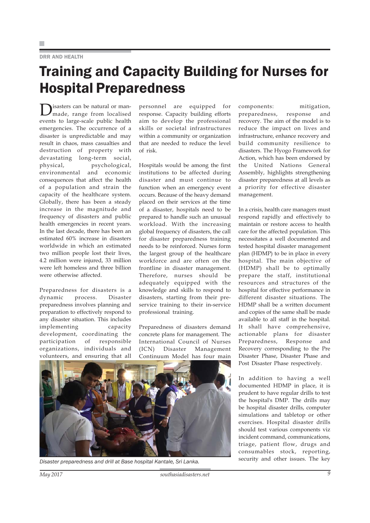### DRR AND HEALTH

### Training and Capacity Building for Nurses for Hospital Preparedness

Disasters can be natural or man-made, range from localised events to large-scale public health emergencies. The occurrence of a disaster is unpredictable and may result in chaos, mass casualties and destruction of property with devastating long-term social, physical, psychological, environmental and economic consequences that affect the health of a population and strain the capacity of the healthcare system. Globally, there has been a steady increase in the magnitude and frequency of disasters and public health emergencies in recent years. In the last decade, there has been an estimated 60% increase in disasters worldwide in which an estimated two million people lost their lives, 4.2 million were injured, 33 million were left homeless and three billion were otherwise affected.

Preparedness for disasters is a dynamic process. Disaster preparedness involves planning and preparation to effectively respond to any disaster situation. This includes implementing capacity development, coordinating the participation of responsible organizations, individuals and volunteers, and ensuring that all

personnel are equipped for response. Capacity building efforts aim to develop the professional skills or societal infrastructures within a community or organization that are needed to reduce the level of risk.

Hospitals would be among the first institutions to be affected during disaster and must continue to function when an emergency event occurs. Because of the heavy demand placed on their services at the time of a disaster, hospitals need to be prepared to handle such an unusual workload. With the increasing global frequency of disasters, the call for disaster preparedness training needs to be reinforced. Nurses form the largest group of the healthcare workforce and are often on the frontline in disaster management. Therefore, nurses should be adequately equipped with the knowledge and skills to respond to disasters, starting from their preservice training to their in-service professional training.

Preparedness of disasters demand concrete plans for management. The International Council of Nurses (ICN) Disaster Management Continuum Model has four main



security and other issues. The key *Disaster preparedness and drill at Base hospital Kantale, Sri Lanka.*

components: mitigation, preparedness, response and recovery. The aim of the model is to reduce the impact on lives and infrastructure, enhance recovery and build community resilience to disasters. The Hyogo Framework for Action, which has been endorsed by the United Nations General Assembly, highlights strengthening disaster preparedness at all levels as a priority for effective disaster management.

In a crisis, health care managers must respond rapidly and effectively to maintain or restore access to health care for the affected population. This necessitates a well documented and tested hospital disaster management plan (HDMP) to be in place in every hospital. The main objective of (HDMP) shall be to optimally prepare the staff, institutional resources and structures of the hospital for effective performance in different disaster situations. The HDMP shall be a written document and copies of the same shall be made available to all staff in the hospital. It shall have comprehensive, actionable plans for disaster Preparedness, Response and Recovery corresponding to the Pre Disaster Phase, Disaster Phase and Post Disaster Phase respectively.

In addition to having a well documented HDMP in place, it is prudent to have regular drills to test the hospital's DMP. The drills may be hospital disaster drills, computer simulations and tabletop or other exercises. Hospital disaster drills should test various components viz incident command, communications, triage, patient flow, drugs and consumables stock, reporting,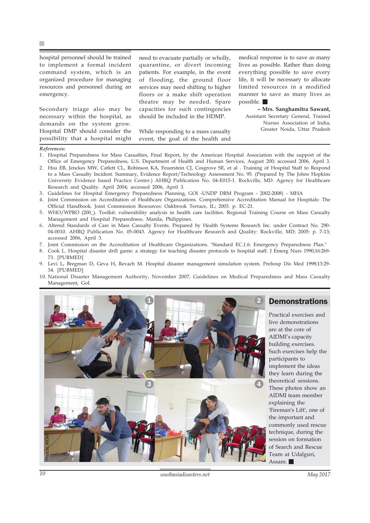hospital personnel should be trained to implement a formal incident command system, which is an organized procedure for managing resources and personnel during an emergency.

Secondary triage also may be necessary within the hospital, as demands on the system grow. Hospital DMP should consider the possibility that a hospital might need to evacuate partially or wholly, quarantine, or divert incoming patients. For example, in the event of flooding, the ground floor services may need shifting to higher floors or a make shift operation theatre may be needed. Spare capacities for such contingencies should be included in the HDMP.

While responding to a mass casualty event, the goal of the health and

medical response is to save as many lives as possible. Rather than doing everything possible to save every life, it will be necessary to allocate limited resources in a modified manner to save as many lives as possible.

**– Mrs. Sanghamitra Sawant,** Assistant Secretary General, Trained Nurses Association of India, Greater Noida, Uttar Pradesh

### *References:*

- 1. Hospital Preparedness for Mass Casualties, Final Report, by the American Hospital Association with the support of the Office of Emergency Preparedness, U.S. Department of Health and Human Services, August 200; accessed 2006, April 3.
- 2. Hsu EB, Jenckes MW, Catlett CL, Robinson KA, Feuerstein CJ, Cosgrove SE, et al . Training of Hospital Staff to Respond to a Mass Casualty Incident. Summary, Evidence Report/Technology Assessment No. 95. (Prepared by The Johns Hopkins University Evidence based Practice Center.) AHRQ Publication No. 04-E015-1. Rockville, MD: Agency for Healthcare Research and Quality. April 2004; accessed 2006, April 3.
- 3. Guidelines for Hospital Emergency Preparedness Planning, GOI -UNDP DRM Program 2002-2008) MHA
- 4. Joint Commission on Accreditation of Healthcare Organizations. Comprehensive Accreditation Manual for Hospitals: The Official Handbook. Joint Commission Resources: Oakbrook Terrace, IL; 2003. p. EC-21.
- 5. WHO/WPRO (200\_). Toolkit: vulnerability analysis in health care facilities. Regional Training Course on Mass Casualty Management and Hospital Preparedness. Manila, Philippines.
- 6. Altered Standards of Care in Mass Casualty Events. Prepared by Health Systems Research Inc. under Contract No. 290- 04-0010. AHRQ Publication No. 05-0043. Agency for Healthcare Research and Quality: Rockville, MD; 2005: p. 7-13; accessed 2006, April 3.
- 7. Joint Commission on the Accreditation of Healthcare Organizations. "Standard EC.1.6: Emergency Preparedness Plan."
- 8. Cook L. Hospital disaster drill game: a strategy for teaching disaster protocols to hospital staff. J Emerg Nurs 1990;16:269- 73. [PUBMED]
- 9. Levi L, Bregman D, Geva H, Revach M. Hospital disaster management simulation system. Prehosp Dis Med 1998;13:29- 34. [PUBMED]
- 10. National Disaster Management Authority, November 2007, Guidelines on Medical Preparedness and Mass Casualty Management, GoI.



### Demonstrations

Practical exercises and live demonstrations are at the core of AIDMI's capacity building exercises. Such exercises help the participants to implement the ideas they learn during the theoretical sessions. These photos show an AIDMI team member explaining the 'Fireman's Lift', one of the important and commonly used rescue technique, during the session on formation of Search and Rescue Team at Udalguri, Assam.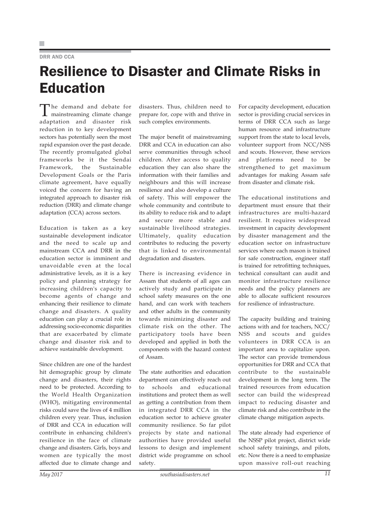### DRR AND CCA

### Resilience to Disaster and Climate Risks in Education

The demand and debate for mainstreaming climate change adaptation and disaster risk reduction in to key development sectors has potentially seen the most rapid expansion over the past decade. The recently promulgated global frameworks be it the Sendai Framework, the Sustainable Development Goals or the Paris climate agreement, have equally voiced the concern for having an integrated approach to disaster risk reduction (DRR) and climate change adaptation (CCA) across sectors.

Education is taken as a key sustainable development indicator and the need to scale up and mainstream CCA and DRR in the education sector is imminent and unavoidable even at the local administrative levels, as it is a key policy and planning strategy for increasing children's capacity to become agents of change and enhancing their resilience to climate change and disasters. A quality education can play a crucial role in addressing socio-economic disparities that are exacerbated by climate change and disaster risk and to achieve sustainable development.

Since children are one of the hardest hit demographic group by climate change and disasters, their rights need to be protected. According to the World Health Organization (WHO), mitigating environmental risks could save the lives of 4 million children every year. Thus, inclusion of DRR and CCA in education will contribute in enhancing children's resilience in the face of climate change and disasters. Girls, boys and women are typically the most affected due to climate change and

disasters. Thus, children need to prepare for, cope with and thrive in such complex environments.

The major benefit of mainstreaming DRR and CCA in education can also serve communities through school children. After access to quality education they can also share the information with their families and neighbours and this will increase resilience and also develop a culture of safety. This will empower the whole community and contribute to its ability to reduce risk and to adapt and secure more stable and sustainable livelihood strategies. Ultimately, quality education contributes to reducing the poverty that is linked to environmental degradation and disasters.

There is increasing evidence in Assam that students of all ages can actively study and participate in school safety measures on the one hand, and can work with teachers and other adults in the community towards minimizing disaster and climate risk on the other. The participatory tools have been developed and applied in both the components with the hazard context of Assam.

The state authorities and education department can effectively reach out to schools and educational institutions and protect them as well as getting a contribution from them in integrated DRR CCA in the education sector to achieve greater community resilience. So far pilot projects by state and national authorities have provided useful lessons to design and implement district wide programme on school safety.

For capacity development, education sector is providing crucial services in terms of DRR CCA such as large human resource and infrastructure support from the state to local levels, volunteer support from NCC/NSS and scouts. However, these services and platforms need to be strengthened to get maximum advantages for making Assam safe from disaster and climate risk.

The educational institutions and department must ensure that their infrastructures are multi-hazard resilient. It requires widespread investment in capacity development by disaster management and the education sector on infrastructure services where each mason is trained for safe construction, engineer staff is trained for retrofitting techniques, technical consultant can audit and monitor infrastructure resilience needs and the policy planners are able to allocate sufficient resources for resilience of infrastructure.

The capacity building and training actions with and for teachers, NCC/ NSS and scouts and guides volunteers in DRR CCA is an important area to capitalize upon. The sector can provide tremendous opportunities for DRR and CCA that contribute to the sustainable development in the long term. The trained resources from education sector can build the widespread impact to reducing disaster and climate risk and also contribute in the climate change mitigation aspects.

The state already had experience of the NSSP pilot project, district wide school safety trainings, and pilots, etc. Now there is a need to emphasize upon massive roll-out reaching